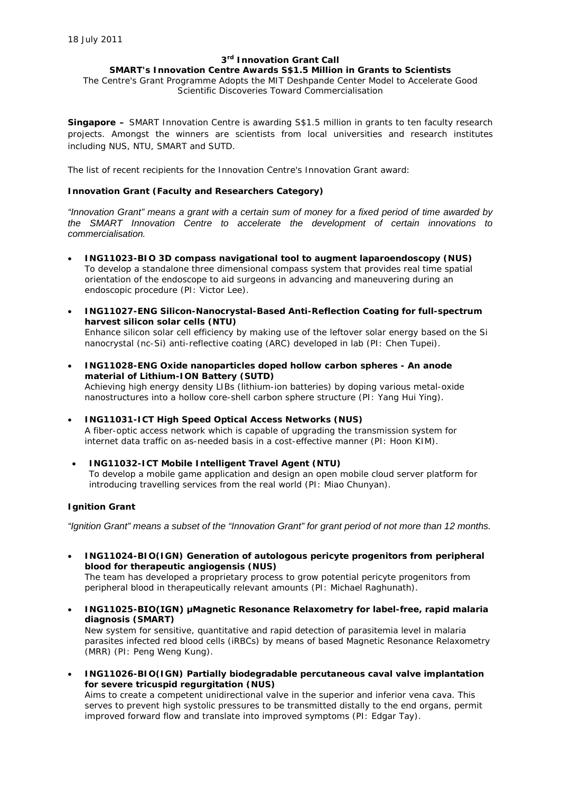#### **3rd Innovation Grant Call**

# **SMART's Innovation Centre Awards S\$1.5 Million in Grants to Scientists**

The Centre's Grant Programme Adopts the MIT Deshpande Center Model to Accelerate Good Scientific Discoveries Toward Commercialisation

**Singapore –** SMART Innovation Centre is awarding S\$1.5 million in grants to ten faculty research projects. Amongst the winners are scientists from local universities and research institutes including NUS, NTU, SMART and SUTD.

The list of recent recipients for the Innovation Centre's Innovation Grant award:

#### **Innovation Grant (Faculty and Researchers Category)**

*"Innovation Grant" means a grant with a certain sum of money for a fixed period of time awarded by the SMART Innovation Centre to accelerate the development of certain innovations to commercialisation.*

- **ING11023-BIO 3D compass navigational tool to augment laparoendoscopy (NUS)** To develop a standalone three dimensional compass system that provides real time spatial orientation of the endoscope to aid surgeons in advancing and maneuvering during an endoscopic procedure (PI: Victor Lee).
- **ING11027-ENG Silicon-Nanocrystal-Based Anti-Reflection Coating for full-spectrum harvest silicon solar cells (NTU)** Enhance silicon solar cell efficiency by making use of the leftover solar energy based on the Si nanocrystal (nc-Si) anti-reflective coating (ARC) developed in lab (PI: Chen Tupei).
- **ING11028-ENG Oxide nanoparticles doped hollow carbon spheres - An anode material of Lithium-ION Battery (SUTD)** Achieving high energy density LIBs (lithium-ion batteries) by doping various metal-oxide nanostructures into a hollow core-shell carbon sphere structure (PI: Yang Hui Ying).
- **ING11031-ICT High Speed Optical Access Networks (NUS)** A fiber-optic access network which is capable of upgrading the transmission system for internet data traffic on as-needed basis in a cost-effective manner (PI: Hoon KIM).
- **ING11032-ICT Mobile Intelligent Travel Agent (NTU)** To develop a mobile game application and design an open mobile cloud server platform for introducing travelling services from the real world (PI: Miao Chunyan).

## **Ignition Grant**

*"Ignition Grant" means a subset of the "Innovation Grant" for grant period of not more than 12 months.*

• **ING11024-BIO(IGN) Generation of autologous pericyte progenitors from peripheral blood for therapeutic angiogensis (NUS)**

The team has developed a proprietary process to grow potential pericyte progenitors from peripheral blood in therapeutically relevant amounts (PI: Michael Raghunath).

• **ING11025-BIO(IGN) μMagnetic Resonance Relaxometry for label-free, rapid malaria diagnosis (SMART)**

New system for sensitive, quantitative and rapid detection of parasitemia level in malaria parasites infected red blood cells (iRBCs) by means of based Magnetic Resonance Relaxometry (MRR) (PI: Peng Weng Kung).

• **ING11026-BIO(IGN) Partially biodegradable percutaneous caval valve implantation for severe tricuspid regurgitation (NUS)**

Aims to create a competent unidirectional valve in the superior and inferior vena cava. This serves to prevent high systolic pressures to be transmitted distally to the end organs, permit improved forward flow and translate into improved symptoms (PI: Edgar Tay).